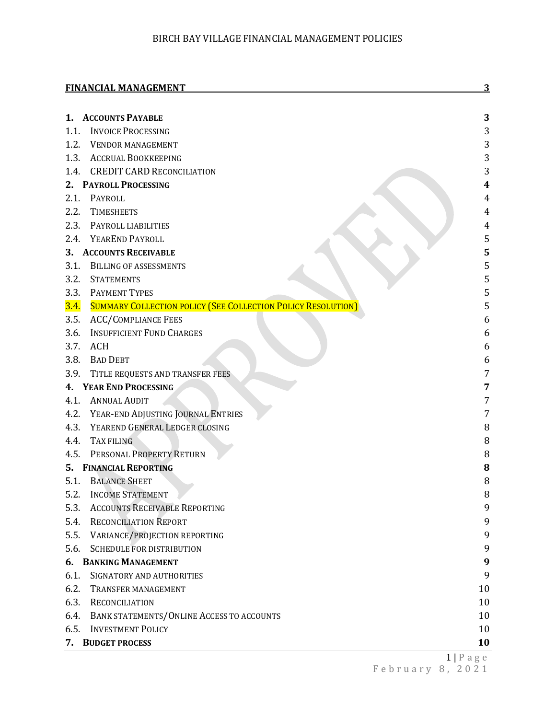|      | <b>FINANCIAL MANAGEMENT</b>                                         |                                 |
|------|---------------------------------------------------------------------|---------------------------------|
|      | 1. ACCOUNTS PAYABLE                                                 | 3                               |
| 1.1. | <b>INVOICE PROCESSING</b>                                           | 3                               |
| 1.2. | <b>VENDOR MANAGEMENT</b>                                            | 3                               |
|      | 1.3. ACCRUAL BOOKKEEPING                                            | 3                               |
| 1.4. | <b>CREDIT CARD RECONCILIATION</b>                                   | 3                               |
| 2.   | <b>PAYROLL PROCESSING</b>                                           | 4                               |
| 2.1. | PAYROLL                                                             |                                 |
| 2.2. | <b>TIMESHEETS</b>                                                   | 4                               |
| 2.3. | PAYROLL LIABILITIES                                                 | 4                               |
|      | 2.4. YEAREND PAYROLL                                                | 5                               |
| 3.   | <b>ACCOUNTS RECEIVABLE</b>                                          | 5                               |
| 3.1. | <b>BILLING OF ASSESSMENTS</b>                                       | 5                               |
| 3.2. | <b>STATEMENTS</b>                                                   | 5                               |
| 3.3. | <b>PAYMENT TYPES</b>                                                | 5                               |
| 3.4. | <b>SUMMARY COLLECTION POLICY (SEE COLLECTION POLICY RESOLUTION)</b> | 5                               |
| 3.5. | <b>ACC/COMPLIANCE FEES</b>                                          | 6                               |
| 3.6. | <b>INSUFFICIENT FUND CHARGES</b>                                    | 6                               |
| 3.7. | <b>ACH</b>                                                          | 6                               |
| 3.8. | <b>BAD DEBT</b>                                                     | 6                               |
| 3.9. | TITLE REQUESTS AND TRANSFER FEES                                    | 7                               |
|      | 4. YEAR END PROCESSING                                              | 7                               |
| 4.1. | <b>ANNUAL AUDIT</b>                                                 | 7                               |
| 4.2. | YEAR-END ADJUSTING JOURNAL ENTRIES                                  | 7                               |
| 4.3. | YEAREND GENERAL LEDGER CLOSING                                      | 8                               |
| 4.4. | TAX FILING                                                          | 8                               |
| 4.5. | PERSONAL PROPERTY RETURN                                            | 8                               |
|      | 5. FINANCIAL REPORTING                                              | 8                               |
| 5.1. | <b>BALANCE SHEET</b>                                                | 8                               |
| 5.2. | <b>INCOME STATEMENT</b>                                             | 8                               |
| 5.3. | <b>ACCOUNTS RECEIVABLE REPORTING</b>                                | 9                               |
| 5.4. | <b>RECONCILIATION REPORT</b>                                        | 9                               |
| 5.5. | VARIANCE/PROJECTION REPORTING                                       | 9                               |
| 5.6. | <b>SCHEDULE FOR DISTRIBUTION</b>                                    | 9                               |
|      | 6. BANKING MANAGEMENT                                               | 9                               |
| 6.1. | SIGNATORY AND AUTHORITIES                                           | 9                               |
| 6.2. | <b>TRANSFER MANAGEMENT</b>                                          | 10                              |
| 6.3. | RECONCILIATION                                                      | 10                              |
| 6.4. | BANK STATEMENTS/ONLINE ACCESS TO ACCOUNTS                           | 10                              |
| 6.5. | <b>INVESTMENT POLICY</b>                                            | 10                              |
| 7.   | <b>BUDGET PROCESS</b>                                               | 10                              |
|      |                                                                     | $1\,\mathrm{D}$ $2\,\mathrm{a}$ |

1 | Page February 8 , 202 1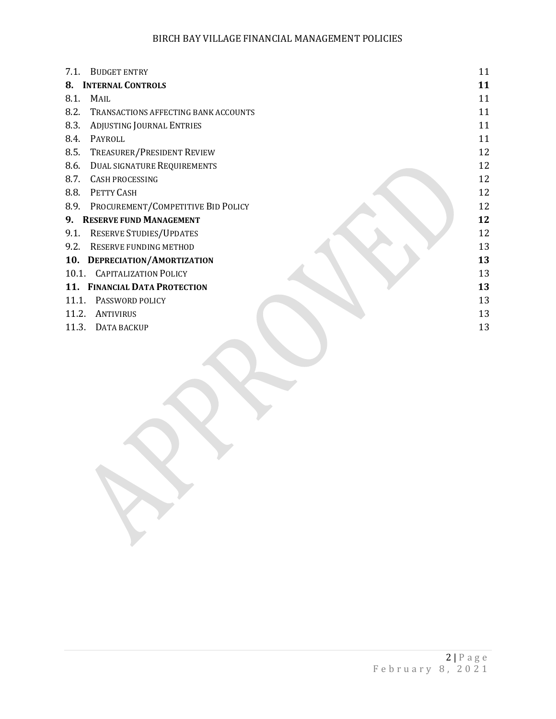| 7.1.  | <b>BUDGET ENTRY</b>                  | 11 |
|-------|--------------------------------------|----|
| 8.    | <b>INTERNAL CONTROLS</b>             | 11 |
| 8.1.  | <b>MAIL</b>                          | 11 |
| 8.2.  | TRANSACTIONS AFFECTING BANK ACCOUNTS | 11 |
| 8.3.  | ADJUSTING JOURNAL ENTRIES            | 11 |
| 8.4.  | PAYROLL                              | 11 |
| 8.5.  | TREASURER/PRESIDENT REVIEW           | 12 |
| 8.6.  | <b>DUAL SIGNATURE REQUIREMENTS</b>   | 12 |
| 8.7.  | <b>CASH PROCESSING</b>               | 12 |
| 8.8.  | PETTY CASH                           | 12 |
| 8.9.  | PROCUREMENT/COMPETITIVE BID POLICY   | 12 |
|       | 9. RESERVE FUND MANAGEMENT           | 12 |
| 9.1.  | <b>RESERVE STUDIES/UPDATES</b>       | 12 |
| 9.2.  | RESERVE FUNDING METHOD               | 13 |
|       | 10. DEPRECIATION/AMORTIZATION        | 13 |
|       | 10.1. CAPITALIZATION POLICY          | 13 |
|       | 11. FINANCIAL DATA PROTECTION        | 13 |
| 11.1. | PASSWORD POLICY                      | 13 |
| 11.2. | ANTIVIRUS                            | 13 |
| 11.3. | DATA BACKUP                          | 13 |
|       |                                      |    |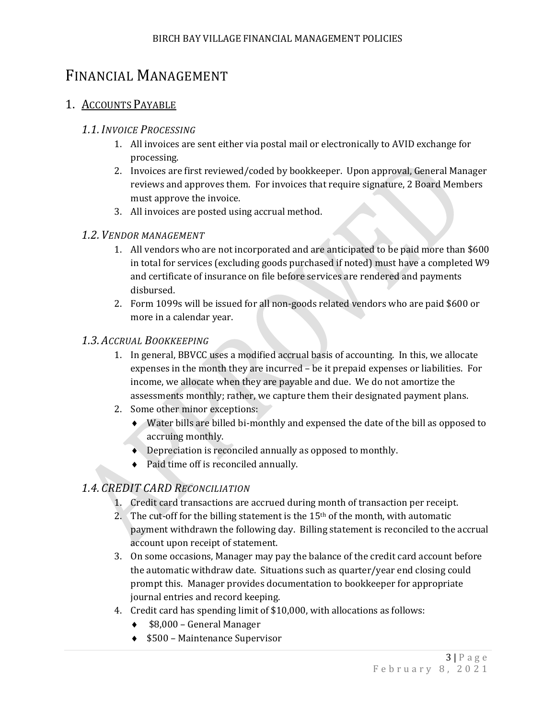# <span id="page-2-0"></span>FINANCIAL MANAGEMENT

# <span id="page-2-2"></span><span id="page-2-1"></span>1. ACCOUNTS PAYABLE

### *1.1.INVOICE PROCESSING*

- 1. All invoices are sent either via postal mail or electronically to AVID exchange for processing.
- 2. Invoices are first reviewed/coded by bookkeeper. Upon approval, General Manager reviews and approves them. For invoices that require signature, 2 Board Members must approve the invoice.
- 3. All invoices are posted using accrual method.

### <span id="page-2-3"></span>*1.2. VENDOR MANAGEMENT*

- 1. All vendors who are not incorporated and are anticipated to be paid more than \$600 in total for services (excluding goods purchased if noted) must have a completed W9 and certificate of insurance on file before services are rendered and payments disbursed.
- 2. Form 1099s will be issued for all non-goods related vendors who are paid \$600 or more in a calendar year.

### <span id="page-2-4"></span>*1.3. ACCRUAL BOOKKEEPING*

- 1. In general, BBVCC uses a modified accrual basis of accounting. In this, we allocate expenses in the month they are incurred – be it prepaid expenses or liabilities. For income, we allocate when they are payable and due. We do not amortize the assessments monthly; rather, we capture them their designated payment plans.
- 2. Some other minor exceptions:
	- ♦ Water bills are billed bi-monthly and expensed the date of the bill as opposed to accruing monthly.
	- ♦ Depreciation is reconciled annually as opposed to monthly.
	- ♦ Paid time off is reconciled annually.

# <span id="page-2-5"></span>*1.4. CREDIT CARD RECONCILIATION*

- 1. Credit card transactions are accrued during month of transaction per receipt.
- 2. The cut-off for the billing statement is the  $15<sup>th</sup>$  of the month, with automatic payment withdrawn the following day. Billing statement is reconciled to the accrual account upon receipt of statement.
- 3. On some occasions, Manager may pay the balance of the credit card account before the automatic withdraw date. Situations such as quarter/year end closing could prompt this. Manager provides documentation to bookkeeper for appropriate journal entries and record keeping.
- 4. Credit card has spending limit of \$10,000, with allocations as follows:
	- ♦ \$8,000 General Manager
	- ♦ \$500 Maintenance Supervisor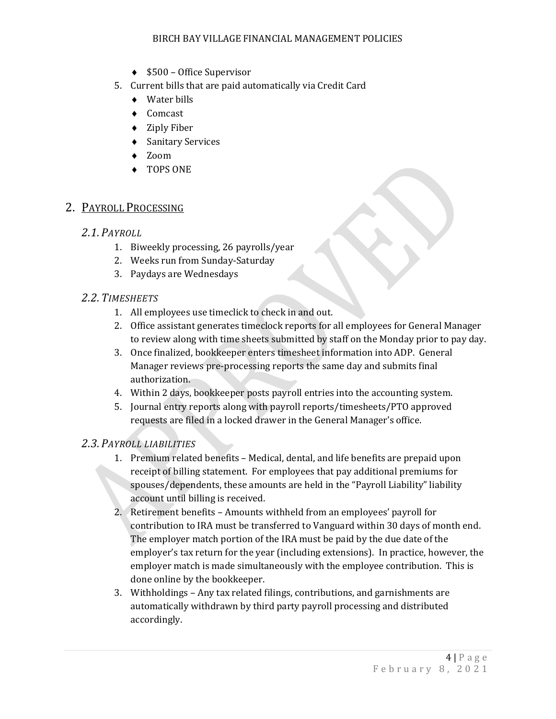- ♦ \$500 Office Supervisor
- 5. Current bills that are paid automatically via Credit Card
	- ♦ Water bills
	- ♦ Comcast
	- ♦ Ziply Fiber
	- ♦ Sanitary Services
	- ♦ Zoom
	- ♦ TOPS ONE

### <span id="page-3-1"></span><span id="page-3-0"></span>2. PAYROLL PROCESSING

#### *2.1. PAYROLL*

- 1. Biweekly processing, 26 payrolls/year
- 2. Weeks run from Sunday-Saturday
- 3. Paydays are Wednesdays

#### <span id="page-3-2"></span>*2.2. TIMESHEETS*

- 1. All employees use timeclick to check in and out.
- 2. Office assistant generates timeclock reports for all employees for General Manager to review along with time sheets submitted by staff on the Monday prior to pay day.
- 3. Once finalized, bookkeeper enters timesheet information into ADP. General Manager reviews pre-processing reports the same day and submits final authorization.
- 4. Within 2 days, bookkeeper posts payroll entries into the accounting system.
- 5. Journal entry reports along with payroll reports/timesheets/PTO approved requests are filed in a locked drawer in the General Manager's office.

#### <span id="page-3-3"></span>*2.3. PAYROLL LIABILITIES*

- 1. Premium related benefits Medical, dental, and life benefits are prepaid upon receipt of billing statement. For employees that pay additional premiums for spouses/dependents, these amounts are held in the "Payroll Liability" liability account until billing is received.
- 2. Retirement benefits Amounts withheld from an employees' payroll for contribution to IRA must be transferred to Vanguard within 30 days of month end. The employer match portion of the IRA must be paid by the due date of the employer's tax return for the year (including extensions). In practice, however, the employer match is made simultaneously with the employee contribution. This is done online by the bookkeeper.
- 3. Withholdings Any tax related filings, contributions, and garnishments are automatically withdrawn by third party payroll processing and distributed accordingly.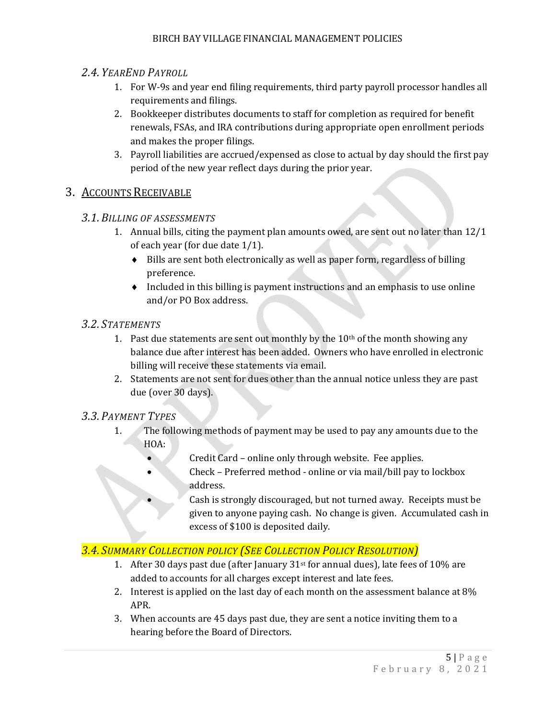### <span id="page-4-0"></span>*2.4. YEAREND PAYROLL*

- 1. For W-9s and year end filing requirements, third party payroll processor handles all requirements and filings.
- 2. Bookkeeper distributes documents to staff for completion as required for benefit renewals, FSAs, and IRA contributions during appropriate open enrollment periods and makes the proper filings.
- 3. Payroll liabilities are accrued/expensed as close to actual by day should the first pay period of the new year reflect days during the prior year.

### <span id="page-4-2"></span><span id="page-4-1"></span>3. ACCOUNTS RECEIVABLE

#### *3.1.BILLING OF ASSESSMENTS*

- 1. Annual bills, citing the payment plan amounts owed, are sent out no later than 12/1 of each year (for due date 1/1).
	- ♦ Bills are sent both electronically as well as paper form, regardless of billing preference.
	- ♦ Included in this billing is payment instructions and an emphasis to use online and/or PO Box address.

#### <span id="page-4-3"></span>*3.2. STATEMENTS*

- 1. Past due statements are sent out monthly by the  $10<sup>th</sup>$  of the month showing any balance due after interest has been added. Owners who have enrolled in electronic billing will receive these statements via email.
- 2. Statements are not sent for dues other than the annual notice unless they are past due (over 30 days).

#### <span id="page-4-4"></span>*3.3. PAYMENT TYPES*

- 1. The following methods of payment may be used to pay any amounts due to the HOA:
	- Credit Card online only through website. Fee applies.
	- Check Preferred method online or via mail/bill pay to lockbox address.
		- Cash is strongly discouraged, but not turned away. Receipts must be given to anyone paying cash. No change is given. Accumulated cash in excess of \$100 is deposited daily.

### <span id="page-4-5"></span>*3.4. SUMMARY COLLECTION POLICY (SEE COLLECTION POLICY RESOLUTION)*

- 1. After 30 days past due (after January 31st for annual dues), late fees of 10% are added to accounts for all charges except interest and late fees.
- 2. Interest is applied on the last day of each month on the assessment balance at 8% APR.
- 3. When accounts are 45 days past due, they are sent a notice inviting them to a hearing before the Board of Directors.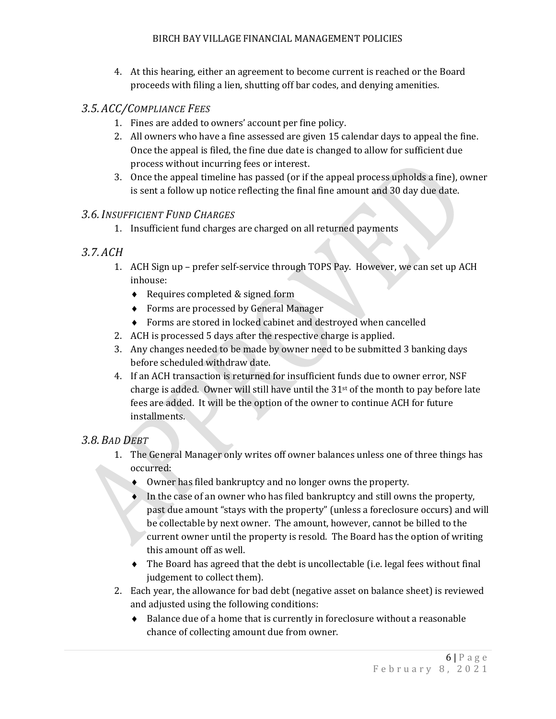4. At this hearing, either an agreement to become current is reached or the Board proceeds with filing a lien, shutting off bar codes, and denying amenities.

### <span id="page-5-0"></span>*3.5. ACC/COMPLIANCE FEES*

- 1. Fines are added to owners' account per fine policy.
- 2. All owners who have a fine assessed are given 15 calendar days to appeal the fine. Once the appeal is filed, the fine due date is changed to allow for sufficient due process without incurring fees or interest.
- 3. Once the appeal timeline has passed (or if the appeal process upholds a fine), owner is sent a follow up notice reflecting the final fine amount and 30 day due date.

### <span id="page-5-1"></span>*3.6.INSUFFICIENT FUND CHARGES*

1. Insufficient fund charges are charged on all returned payments

### <span id="page-5-2"></span>*3.7. ACH*

- 1. ACH Sign up prefer self-service through TOPS Pay. However, we can set up ACH inhouse:
	- ♦ Requires completed & signed form
	- ♦ Forms are processed by General Manager
	- ♦ Forms are stored in locked cabinet and destroyed when cancelled
- 2. ACH is processed 5 days after the respective charge is applied.
- 3. Any changes needed to be made by owner need to be submitted 3 banking days before scheduled withdraw date.
- 4. If an ACH transaction is returned for insufficient funds due to owner error, NSF charge is added. Owner will still have until the 31st of the month to pay before late fees are added. It will be the option of the owner to continue ACH for future installments.

### <span id="page-5-3"></span>*3.8.BAD DEBT*

- 1. The General Manager only writes off owner balances unless one of three things has occurred:
	- Owner has filed bankruptcy and no longer owns the property.
	- ♦ In the case of an owner who has filed bankruptcy and still owns the property, past due amount "stays with the property" (unless a foreclosure occurs) and will be collectable by next owner. The amount, however, cannot be billed to the current owner until the property is resold. The Board has the option of writing this amount off as well.
	- ♦ The Board has agreed that the debt is uncollectable (i.e. legal fees without final judgement to collect them).
- 2. Each year, the allowance for bad debt (negative asset on balance sheet) is reviewed and adjusted using the following conditions:
	- ♦ Balance due of a home that is currently in foreclosure without a reasonable chance of collecting amount due from owner.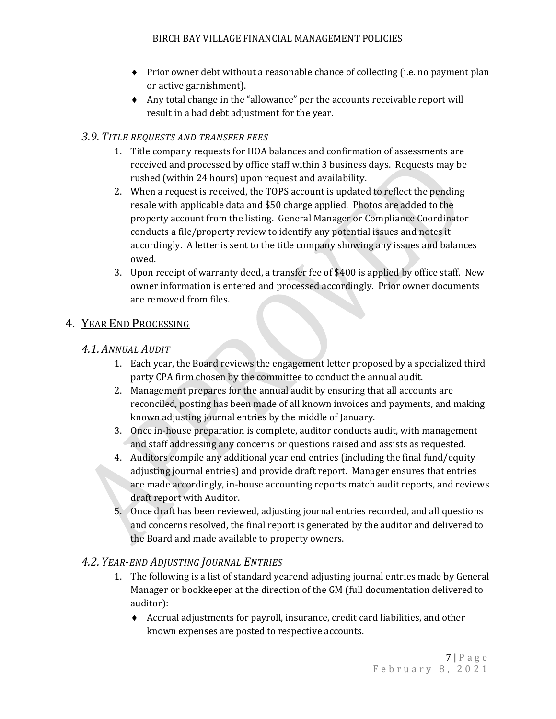- ♦ Prior owner debt without a reasonable chance of collecting (i.e. no payment plan or active garnishment).
- ♦ Any total change in the "allowance" per the accounts receivable report will result in a bad debt adjustment for the year.

### <span id="page-6-0"></span>*3.9. TITLE REQUESTS AND TRANSFER FEES*

- 1. Title company requests for HOA balances and confirmation of assessments are received and processed by office staff within 3 business days. Requests may be rushed (within 24 hours) upon request and availability.
- 2. When a request is received, the TOPS account is updated to reflect the pending resale with applicable data and \$50 charge applied. Photos are added to the property account from the listing. General Manager or Compliance Coordinator conducts a file/property review to identify any potential issues and notes it accordingly. A letter is sent to the title company showing any issues and balances owed.
- 3. Upon receipt of warranty deed, a transfer fee of \$400 is applied by office staff. New owner information is entered and processed accordingly. Prior owner documents are removed from files.

## <span id="page-6-2"></span><span id="page-6-1"></span>4. YEAR END PROCESSING

### *4.1. ANNUAL AUDIT*

- 1. Each year, the Board reviews the engagement letter proposed by a specialized third party CPA firm chosen by the committee to conduct the annual audit.
- 2. Management prepares for the annual audit by ensuring that all accounts are reconciled, posting has been made of all known invoices and payments, and making known adjusting journal entries by the middle of January.
- 3. Once in-house preparation is complete, auditor conducts audit, with management and staff addressing any concerns or questions raised and assists as requested.
- 4. Auditors compile any additional year end entries (including the final fund/equity adjusting journal entries) and provide draft report. Manager ensures that entries are made accordingly, in-house accounting reports match audit reports, and reviews draft report with Auditor.
- 5. Once draft has been reviewed, adjusting journal entries recorded, and all questions and concerns resolved, the final report is generated by the auditor and delivered to the Board and made available to property owners.

### <span id="page-6-3"></span>*4.2. YEAR-END ADJUSTING JOURNAL ENTRIES*

- 1. The following is a list of standard yearend adjusting journal entries made by General Manager or bookkeeper at the direction of the GM (full documentation delivered to auditor):
	- ♦ Accrual adjustments for payroll, insurance, credit card liabilities, and other known expenses are posted to respective accounts.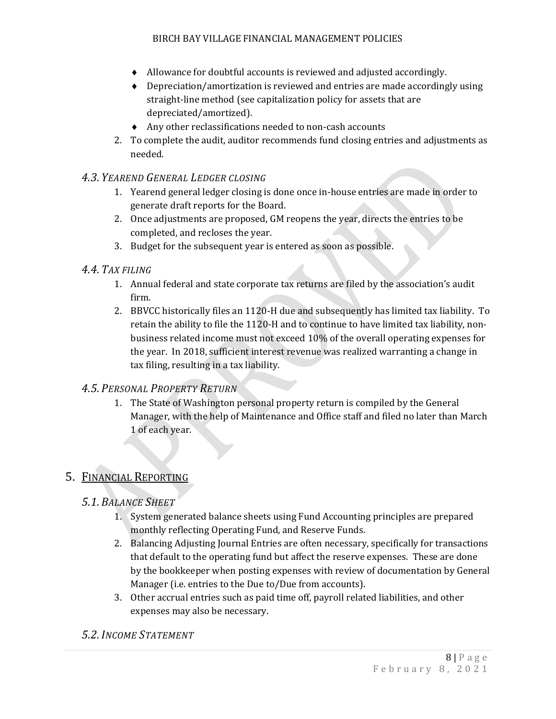- ♦ Allowance for doubtful accounts is reviewed and adjusted accordingly.
- ♦ Depreciation/amortization is reviewed and entries are made accordingly using straight-line method (see capitalization policy for assets that are depreciated/amortized).
- ♦ Any other reclassifications needed to non-cash accounts
- 2. To complete the audit, auditor recommends fund closing entries and adjustments as needed.

#### <span id="page-7-0"></span>*4.3. YEAREND GENERAL LEDGER CLOSING*

- 1. Yearend general ledger closing is done once in-house entries are made in order to generate draft reports for the Board.
- 2. Once adjustments are proposed, GM reopens the year, directs the entries to be completed, and recloses the year.
- 3. Budget for the subsequent year is entered as soon as possible.

#### <span id="page-7-1"></span>*4.4. TAX FILING*

- 1. Annual federal and state corporate tax returns are filed by the association's audit firm.
- 2. BBVCC historically files an 1120-H due and subsequently has limited tax liability. To retain the ability to file the 1120-H and to continue to have limited tax liability, nonbusiness related income must not exceed 10% of the overall operating expenses for the year. In 2018, sufficient interest revenue was realized warranting a change in tax filing, resulting in a tax liability.

#### <span id="page-7-2"></span>*4.5. PERSONAL PROPERTY RETURN*

1. The State of Washington personal property return is compiled by the General Manager, with the help of Maintenance and Office staff and filed no later than March 1 of each year.

### <span id="page-7-4"></span><span id="page-7-3"></span>5. FINANCIAL REPORTING

### *5.1.BALANCE SHEET*

- 1. System generated balance sheets using Fund Accounting principles are prepared monthly reflecting Operating Fund, and Reserve Funds.
- 2. Balancing Adjusting Journal Entries are often necessary, specifically for transactions that default to the operating fund but affect the reserve expenses. These are done by the bookkeeper when posting expenses with review of documentation by General Manager (i.e. entries to the Due to/Due from accounts).
- 3. Other accrual entries such as paid time off, payroll related liabilities, and other expenses may also be necessary.

#### <span id="page-7-5"></span>*5.2.INCOME STATEMENT*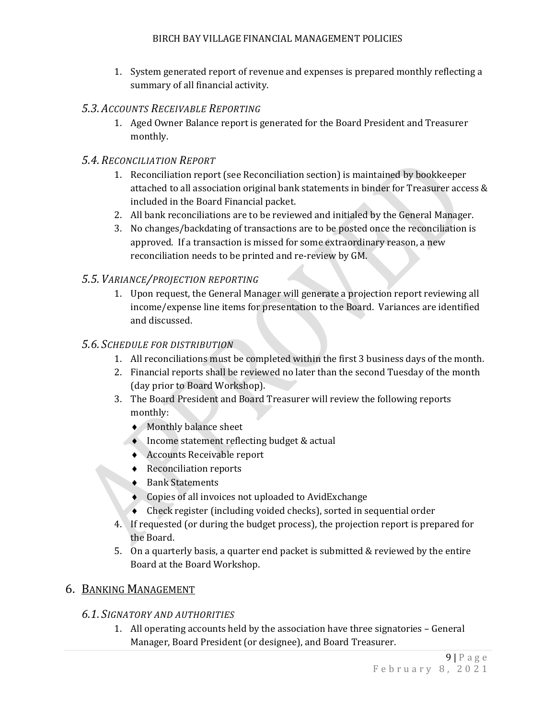1. System generated report of revenue and expenses is prepared monthly reflecting a summary of all financial activity.

### <span id="page-8-0"></span>*5.3. ACCOUNTS RECEIVABLE REPORTING*

1. Aged Owner Balance report is generated for the Board President and Treasurer monthly.

### <span id="page-8-1"></span>*5.4.RECONCILIATION REPORT*

- 1. Reconciliation report (see Reconciliation section) is maintained by bookkeeper attached to all association original bank statements in binder for Treasurer access & included in the Board Financial packet.
- 2. All bank reconciliations are to be reviewed and initialed by the General Manager.
- 3. No changes/backdating of transactions are to be posted once the reconciliation is approved. If a transaction is missed for some extraordinary reason, a new reconciliation needs to be printed and re-review by GM.

#### <span id="page-8-2"></span>*5.5. VARIANCE/PROJECTION REPORTING*

1. Upon request, the General Manager will generate a projection report reviewing all income/expense line items for presentation to the Board. Variances are identified and discussed.

#### <span id="page-8-3"></span>*5.6. SCHEDULE FOR DISTRIBUTION*

- 1. All reconciliations must be completed within the first 3 business days of the month.
- 2. Financial reports shall be reviewed no later than the second Tuesday of the month (day prior to Board Workshop).
- 3. The Board President and Board Treasurer will review the following reports monthly:
	- ♦ Monthly balance sheet
	- ♦ Income statement reflecting budget & actual
		- ♦ Accounts Receivable report
		- ♦ Reconciliation reports
		- ♦ Bank Statements
		- ♦ Copies of all invoices not uploaded to AvidExchange
		- ♦ Check register (including voided checks), sorted in sequential order
- 4. If requested (or during the budget process), the projection report is prepared for the Board.
- 5. On a quarterly basis, a quarter end packet is submitted & reviewed by the entire Board at the Board Workshop.

#### <span id="page-8-5"></span><span id="page-8-4"></span>6. BANKING MANAGEMENT

#### *6.1. SIGNATORY AND AUTHORITIES*

1. All operating accounts held by the association have three signatories – General Manager, Board President (or designee), and Board Treasurer.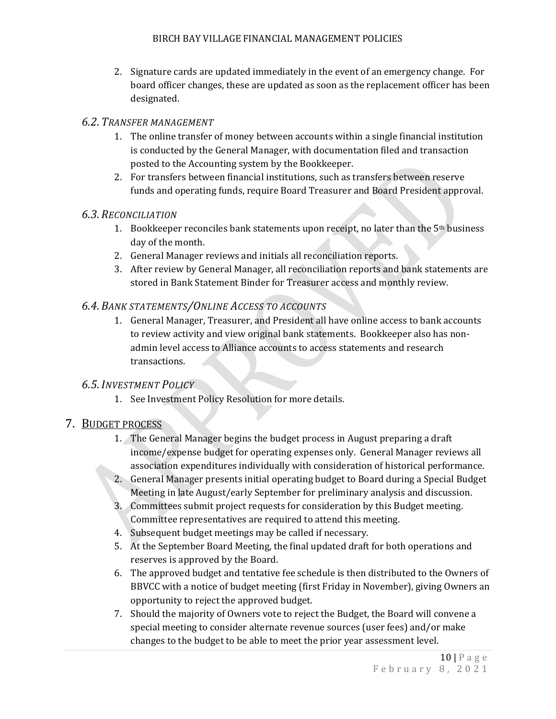2. Signature cards are updated immediately in the event of an emergency change. For board officer changes, these are updated as soon as the replacement officer has been designated.

#### <span id="page-9-0"></span>*6.2. TRANSFER MANAGEMENT*

- 1. The online transfer of money between accounts within a single financial institution is conducted by the General Manager, with documentation filed and transaction posted to the Accounting system by the Bookkeeper.
- 2. For transfers between financial institutions, such as transfers between reserve funds and operating funds, require Board Treasurer and Board President approval.

### <span id="page-9-1"></span>*6.3.RECONCILIATION*

- 1. Bookkeeper reconciles bank statements upon receipt, no later than the 5<sup>th</sup> business day of the month.
- 2. General Manager reviews and initials all reconciliation reports.
- 3. After review by General Manager, all reconciliation reports and bank statements are stored in Bank Statement Binder for Treasurer access and monthly review.

### <span id="page-9-2"></span>*6.4.BANK STATEMENTS/ONLINE ACCESS TO ACCOUNTS*

1. General Manager, Treasurer, and President all have online access to bank accounts to review activity and view original bank statements. Bookkeeper also has nonadmin level access to Alliance accounts to access statements and research transactions.

### <span id="page-9-3"></span>*6.5.INVESTMENT POLICY*

1. See Investment Policy Resolution for more details.

# <span id="page-9-4"></span>7. BUDGET PROCESS

- 1. The General Manager begins the budget process in August preparing a draft income/expense budget for operating expenses only. General Manager reviews all association expenditures individually with consideration of historical performance.
- 2. General Manager presents initial operating budget to Board during a Special Budget Meeting in late August/early September for preliminary analysis and discussion.
- 3. Committees submit project requests for consideration by this Budget meeting. Committee representatives are required to attend this meeting.
- 4. Subsequent budget meetings may be called if necessary.
- 5. At the September Board Meeting, the final updated draft for both operations and reserves is approved by the Board.
- 6. The approved budget and tentative fee schedule is then distributed to the Owners of BBVCC with a notice of budget meeting (first Friday in November), giving Owners an opportunity to reject the approved budget.
- 7. Should the majority of Owners vote to reject the Budget, the Board will convene a special meeting to consider alternate revenue sources (user fees) and/or make changes to the budget to be able to meet the prior year assessment level.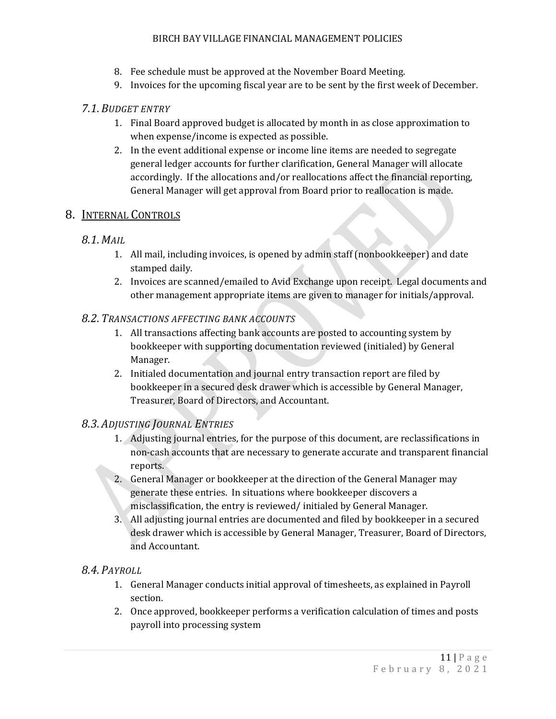- 8. Fee schedule must be approved at the November Board Meeting.
- 9. Invoices for the upcoming fiscal year are to be sent by the first week of December.

### <span id="page-10-0"></span>*7.1.BUDGET ENTRY*

- 1. Final Board approved budget is allocated by month in as close approximation to when expense/income is expected as possible.
- 2. In the event additional expense or income line items are needed to segregate general ledger accounts for further clarification, General Manager will allocate accordingly. If the allocations and/or reallocations affect the financial reporting, General Manager will get approval from Board prior to reallocation is made.

### <span id="page-10-2"></span><span id="page-10-1"></span>8. INTERNAL CONTROLS

### *8.1.MAIL*

- 1. All mail, including invoices, is opened by admin staff (nonbookkeeper) and date stamped daily.
- 2. Invoices are scanned/emailed to Avid Exchange upon receipt. Legal documents and other management appropriate items are given to manager for initials/approval.

### <span id="page-10-3"></span>*8.2. TRANSACTIONS AFFECTING BANK ACCOUNTS*

- 1. All transactions affecting bank accounts are posted to accounting system by bookkeeper with supporting documentation reviewed (initialed) by General Manager.
- 2. Initialed documentation and journal entry transaction report are filed by bookkeeper in a secured desk drawer which is accessible by General Manager, Treasurer, Board of Directors, and Accountant.

### <span id="page-10-4"></span>*8.3. ADJUSTING JOURNAL ENTRIES*

- 1. Adjusting journal entries, for the purpose of this document, are reclassifications in non-cash accounts that are necessary to generate accurate and transparent financial reports.
- 2. General Manager or bookkeeper at the direction of the General Manager may generate these entries. In situations where bookkeeper discovers a misclassification, the entry is reviewed/ initialed by General Manager.
- 3. All adjusting journal entries are documented and filed by bookkeeper in a secured desk drawer which is accessible by General Manager, Treasurer, Board of Directors, and Accountant.

### <span id="page-10-5"></span>*8.4. PAYROLL*

- 1. General Manager conducts initial approval of timesheets, as explained in Payroll section.
- 2. Once approved, bookkeeper performs a verification calculation of times and posts payroll into processing system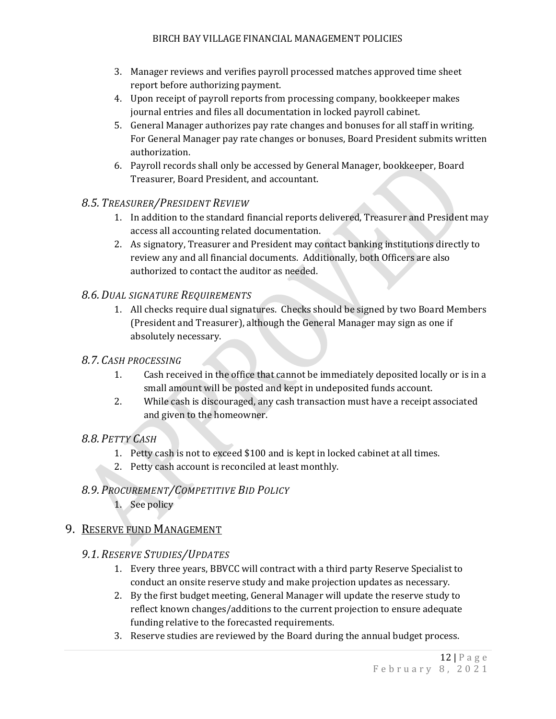- 3. Manager reviews and verifies payroll processed matches approved time sheet report before authorizing payment.
- 4. Upon receipt of payroll reports from processing company, bookkeeper makes journal entries and files all documentation in locked payroll cabinet.
- 5. General Manager authorizes pay rate changes and bonuses for all staff in writing. For General Manager pay rate changes or bonuses, Board President submits written authorization.
- 6. Payroll records shall only be accessed by General Manager, bookkeeper, Board Treasurer, Board President, and accountant.

### <span id="page-11-0"></span>*8.5. TREASURER/PRESIDENT REVIEW*

- 1. In addition to the standard financial reports delivered, Treasurer and President may access all accounting related documentation.
- 2. As signatory, Treasurer and President may contact banking institutions directly to review any and all financial documents. Additionally, both Officers are also authorized to contact the auditor as needed.

### <span id="page-11-1"></span>*8.6.DUAL SIGNATURE REQUIREMENTS*

1. All checks require dual signatures. Checks should be signed by two Board Members (President and Treasurer), although the General Manager may sign as one if absolutely necessary.

### <span id="page-11-2"></span>*8.7. CASH PROCESSING*

- 1. Cash received in the office that cannot be immediately deposited locally or is in a small amount will be posted and kept in undeposited funds account.
- 2. While cash is discouraged, any cash transaction must have a receipt associated and given to the homeowner.

### <span id="page-11-3"></span>*8.8. PETTY CASH*

- 1. Petty cash is not to exceed \$100 and is kept in locked cabinet at all times.
- 2. Petty cash account is reconciled at least monthly.

# <span id="page-11-4"></span>*8.9. PROCUREMENT/COMPETITIVE BID POLICY*

1. See policy

# <span id="page-11-6"></span><span id="page-11-5"></span>9. RESERVE FUND MANAGEMENT

### *9.1.RESERVE STUDIES/UPDATES*

- 1. Every three years, BBVCC will contract with a third party Reserve Specialist to conduct an onsite reserve study and make projection updates as necessary.
- 2. By the first budget meeting, General Manager will update the reserve study to reflect known changes/additions to the current projection to ensure adequate funding relative to the forecasted requirements.
- 3. Reserve studies are reviewed by the Board during the annual budget process.